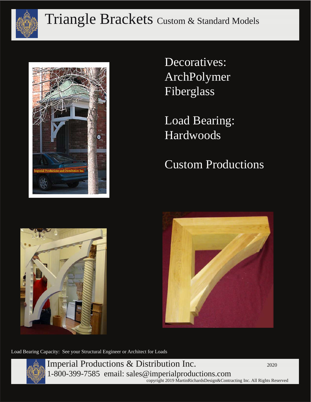

## Triangle Brackets Custom & Standard Models



Decoratives: ArchPolymer Fiberglass

Load Bearing: Hardwoods

## Custom Productions





Load Bearing Capacity: See your Structural Engineer or Architect for Loads

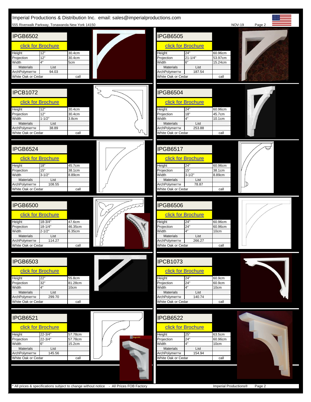

\* All prices & specifications subject to change without notice - All Prices FOB Factory Imperial Productions® Page 2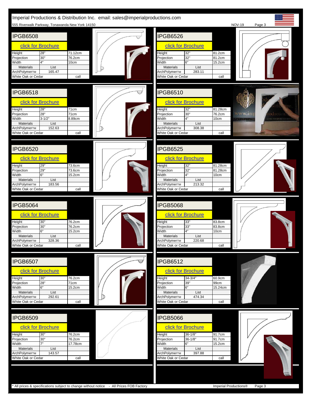

\* All prices & specifications subject to change without notice - All Prices FOB Factory Imperial Productions® Page 3